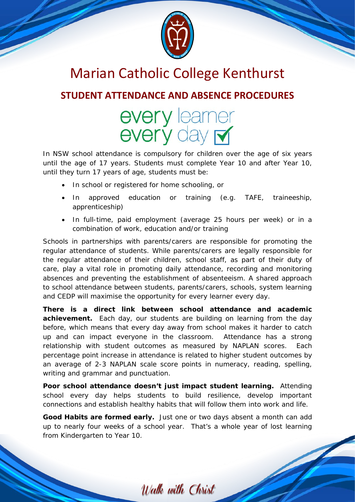

## Marian Catholic College Kenthurst

### **STUDENT ATTENDANCE AND ABSENCE PROCEDURES**

# every learner<br>every day M

In NSW school attendance is compulsory for children over the age of six years until the age of 17 years. Students must complete Year 10 and after Year 10, until they turn 17 years of age, students must be:

- In school or registered for home schooling, or
- In approved education or training (e.g. TAFE, traineeship, apprenticeship)
- In full-time, paid employment (average 25 hours per week) or in a combination of work, education and/or training

Schools in partnerships with parents/carers are responsible for promoting the regular attendance of students. While parents/carers are legally responsible for the regular attendance of their children, school staff, as part of their duty of care, play a vital role in promoting daily attendance, recording and monitoring absences and preventing the establishment of absenteeism. A shared approach to school attendance between students, parents/carers, schools, system learning and CEDP will maximise the opportunity for every learner every day.

*There is a direct link between school attendance and academic achievement.* Each day, our students are building on learning from the day before, which means that every day away from school makes it harder to catch up and can impact everyone in the classroom. Attendance has a strong relationship with student outcomes as measured by NAPLAN scores. Each percentage point increase in attendance is related to higher student outcomes by an average of 2-3 NAPLAN scale score points in numeracy, reading, spelling, writing and grammar and punctuation.

*Poor school attendance doesn't just impact student learning.* Attending school every day helps students to build resilience, develop important connections and establish healthy habits that will follow them into work and life.

*Good Habits are formed early.* Just one or two days absent a month can add up to nearly four weeks of a school year. That's a whole year of lost learning from Kindergarten to Year 10.

Walk with Christ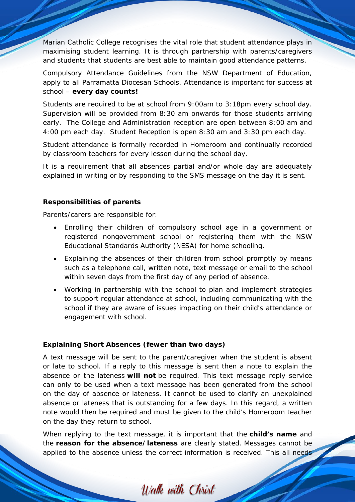Marian Catholic College recognises the vital role that student attendance plays in maximising student learning. It is through partnership with parents/caregivers and students that students are best able to maintain good attendance patterns.

Compulsory Attendance Guidelines from the NSW Department of Education, apply to all Parramatta Diocesan Schools. Attendance is important for success at school – **every day counts!**

Students are required to be at school from 9:00am to 3:18pm every school day. Supervision will be provided from 8:30 am onwards for those students arriving early. The College and Administration reception are open between 8:00 am and 4:00 pm each day. Student Reception is open 8:30 am and 3:30 pm each day.

Student attendance is formally recorded in Homeroom and continually recorded by classroom teachers for every lesson during the school day.

It is a requirement that all absences partial and/or whole day are adequately explained in writing or by responding to the SMS message on the day it is sent.

#### **Responsibilities of parents**

Parents/carers are responsible for:

- Enrolling their children of compulsory school age in a government or registered nongovernment school or registering them with the NSW Educational Standards Authority (NESA) for home schooling.
- Explaining the absences of their children from school promptly by means such as a telephone call, written note, text message or email to the school within seven days from the first day of any period of absence.
- Working in partnership with the school to plan and implement strategies to support regular attendance at school, including communicating with the school if they are aware of issues impacting on their child's attendance or engagement with school.

#### **Explaining Short Absences (fewer than two days)**

A text message will be sent to the parent/caregiver when the student is absent or late to school. If a reply to this message is sent then a note to explain the absence or the lateness **will not** be required. This text message reply service can only to be used when a text message has been generated from the school on the day of absence or lateness. It cannot be used to clarify an unexplained absence or lateness that is outstanding for a few days. In this regard, a written note would then be required and must be given to the child's Homeroom teacher on the day they return to school.

When replying to the text message, it is important that the **child's name** and the **reason for the absence/lateness** are clearly stated. Messages cannot be applied to the absence unless the correct information is received. This all needs

Walk with Christ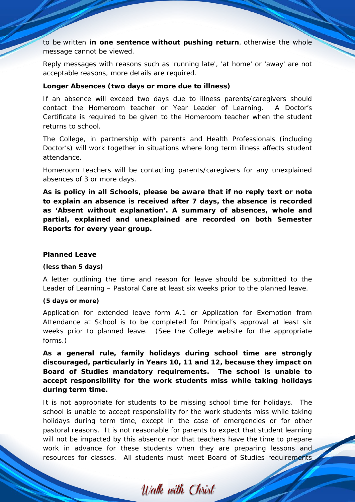to be written **in one sentence without pushing return**, otherwise the whole message cannot be viewed.

Reply messages with reasons such as 'running late', 'at home' or 'away' are not acceptable reasons, more details are required.

#### **Longer Absences (two days or more due to illness)**

If an absence will exceed two days due to illness parents/caregivers should contact the Homeroom teacher or Year Leader of Learning. A Doctor's Certificate is required to be given to the Homeroom teacher when the student returns to school.

The College, in partnership with parents and Health Professionals (including Doctor's) will work together in situations where long term illness affects student attendance.

Homeroom teachers will be contacting parents/caregivers for any unexplained absences of 3 or more days.

**As is policy in all Schools, please be aware that if no reply text or note to explain an absence is received after 7 days, the absence is recorded as** *'Absent without explanation'***. A summary of absences, whole and partial, explained and unexplained are recorded on both Semester Reports for every year group.**

#### **Planned Leave**

#### *(less than 5 days)*

A letter outlining the time and reason for leave should be submitted to the Leader of Learning – Pastoral Care at least six weeks prior to the planned leave.

#### *(5 days or more)*

Application for extended leave form A.1 or Application for Exemption from Attendance at School is to be completed for Principal's approval at least six weeks prior to planned leave. (See the College website for the appropriate forms.)

*As a general rule, family holidays during school time are strongly discouraged, particularly in Years 10, 11 and 12, because they impact on Board of Studies mandatory requirements. The school is unable to accept responsibility for the work students miss while taking holidays during term time.*

It is not appropriate for students to be missing school time for holidays. The school is unable to accept responsibility for the work students miss while taking holidays during term time, except in the case of emergencies or for other pastoral reasons. It is not reasonable for parents to expect that student learning will not be impacted by this absence nor that teachers have the time to prepare work in advance for these students when they are preparing lessons and resources for classes. All students must meet Board of Studies requirements

Walk with Christ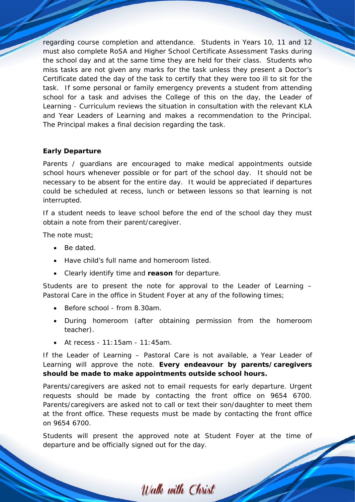regarding course completion and attendance. Students in Years 10, 11 and 12 must also complete RoSA and Higher School Certificate Assessment Tasks during the school day and at the same time they are held for their class. Students who miss tasks are not given any marks for the task unless they present a Doctor's Certificate dated the day of the task to certify that they were too ill to sit for the task. If some personal or family emergency prevents a student from attending school for a task and advises the College of this on the day, the Leader of Learning - Curriculum reviews the situation in consultation with the relevant KLA and Year Leaders of Learning and makes a recommendation to the Principal. The Principal makes a final decision regarding the task.

#### **Early Departure**

Parents / guardians are encouraged to make medical appointments outside school hours whenever possible or for part of the school day. It should not be necessary to be absent for the entire day. It would be appreciated if departures could be scheduled at recess, lunch or between lessons so that learning is not interrupted.

If a student needs to leave school before the end of the school day they must obtain a note from their parent/caregiver.

The note must;

- Be dated.
- Have child's full name and homeroom listed.
- Clearly identify time and **reason** for departure.

Students are to present the note for approval to the Leader of Learning – Pastoral Care in the office in Student Foyer at any of the following times;

- Before school from 8.30am.
- During homeroom (after obtaining permission from the homeroom teacher).
- At recess 11:15am 11:45am.

If the Leader of Learning – Pastoral Care is not available, a Year Leader of Learning will approve the note. **Every endeavour by parents/caregivers should be made to make appointments outside school hours.**

Parents/caregivers are asked not to email requests for early departure. Urgent requests should be made by contacting the front office on 9654 6700. Parents/caregivers are asked not to call or text their son/daughter to meet them at the front office. These requests must be made by contacting the front office on 9654 6700.

Students will present the approved note at Student Foyer at the time of departure and be officially signed out for the day.

Walk with Christ